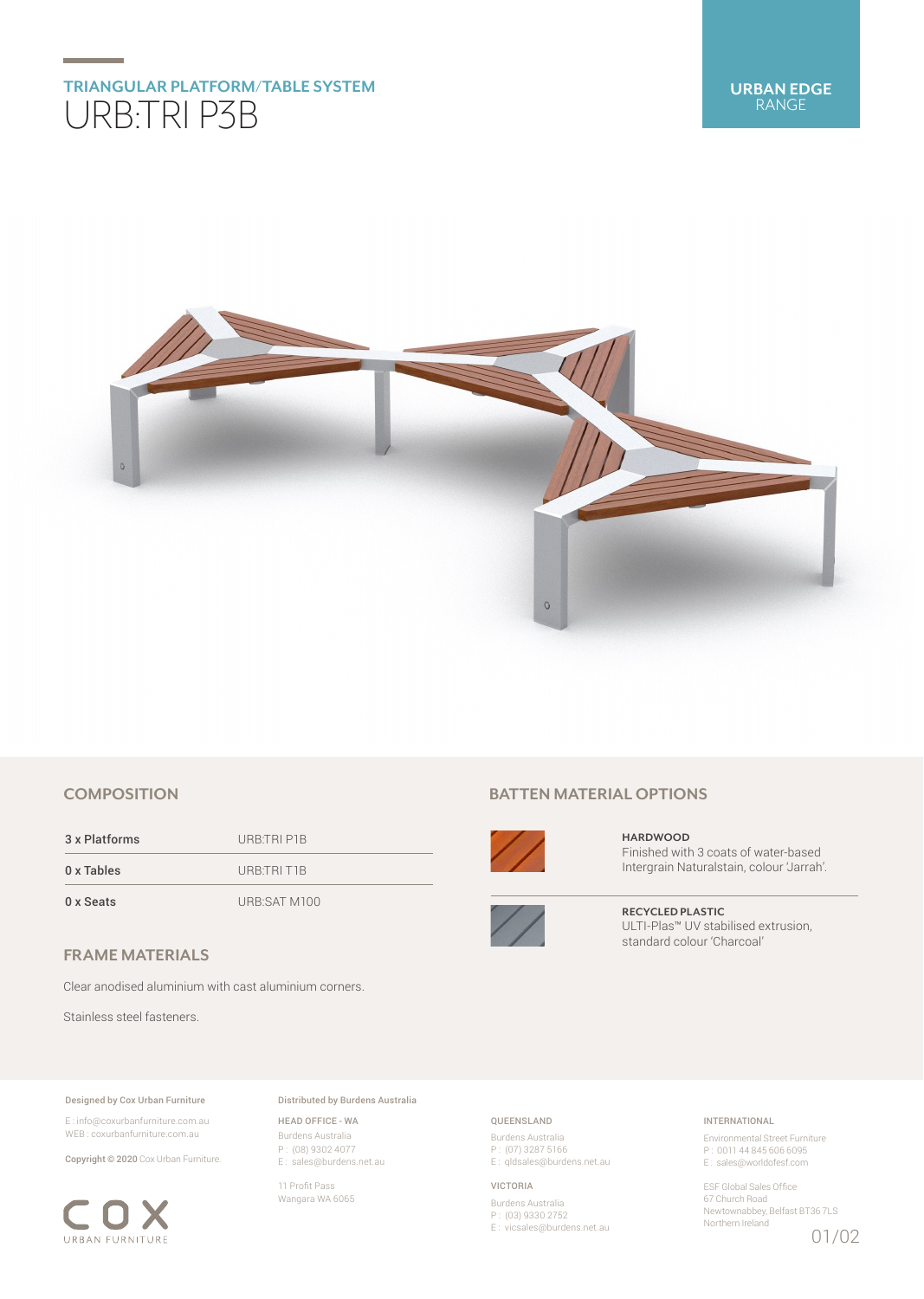# **TRIANGULAR PLATFORM/TABLE SYSTEM** URB:TRI P3B



## **COMPOSITION**

3 x Platforms URB:TRI P1B 0 x Tables URB:TRI T1B

0 x Seats URB:SAT M100

## **FRAME MATERIALS**

Clear anodised aluminium with cast aluminium corners.

Stainless steel fasteners.

#### Designed by Cox Urban Furniture

E : info@coxurbanfurniture.com.au WEB : coxurbanfurniture.com.au

Copyright © 2020 Cox Urban Furniture.



Distributed by Burdens Australia

HEAD OFFICE - WA Burdens Australia P : (08) 9302 4077 E : sales@burdens.net.au

11 Profit Pass Wangara WA 6065

## **BATTEN MATERIAL OPTIONS**



**HARDWOOD** Finished with 3 coats of water-based Intergrain Naturalstain, colour 'Jarrah'.



**RECYCLED PLASTIC** ULTI-Plas™ UV stabilised extrusion, standard colour 'Charcoal'

## QUEENSLAND

Burdens Australia P : (07) 3287 5166 E: qldsales@burdens.net.au

#### VICTORIA

Burdens Australia P : (03) 9330 2752 E : vicsales@burdens.net.au

## INTERNATIONAL

Environmental Street Furniture P : 0011 44 845 606 6095 E : sales@worldofesf.com

ESF Global Sales Office 67 Church Road Newtownabbey, Belfast BT36 7LS Northern Ireland